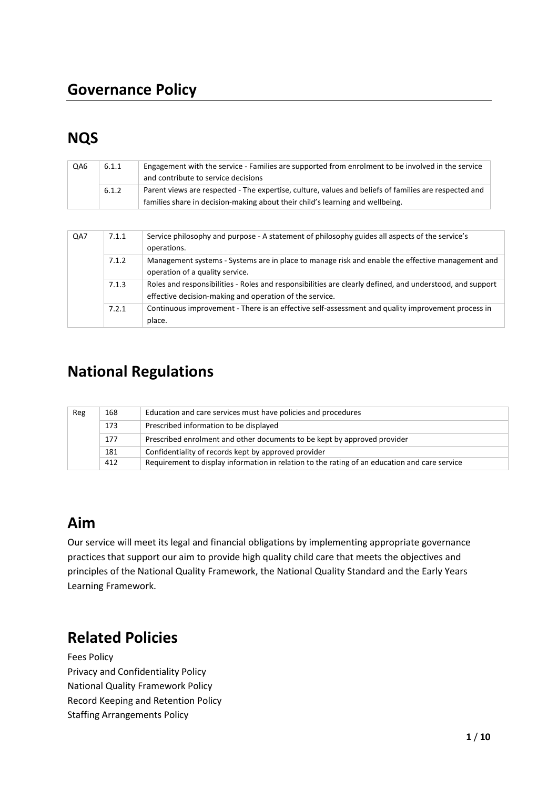## **Governance Policy**

# **NQS**

| QA6 | 6.1.1 | Engagement with the service - Families are supported from enrolment to be involved in the service<br>and contribute to service decisions                                               |
|-----|-------|----------------------------------------------------------------------------------------------------------------------------------------------------------------------------------------|
|     | 6.1.2 | Parent views are respected - The expertise, culture, values and beliefs of families are respected and<br>families share in decision-making about their child's learning and wellbeing. |

| QA7 | 7.1.1 | Service philosophy and purpose - A statement of philosophy guides all aspects of the service's<br>operations.                                                       |
|-----|-------|---------------------------------------------------------------------------------------------------------------------------------------------------------------------|
|     | 7.1.2 | Management systems - Systems are in place to manage risk and enable the effective management and<br>operation of a quality service.                                 |
|     | 7.1.3 | Roles and responsibilities - Roles and responsibilities are clearly defined, and understood, and support<br>effective decision-making and operation of the service. |
|     | 7.2.1 | Continuous improvement - There is an effective self-assessment and quality improvement process in<br>place.                                                         |

## **National Regulations**

| Education and care services must have policies and procedures<br>168<br>Reg |     |                                                                                               |
|-----------------------------------------------------------------------------|-----|-----------------------------------------------------------------------------------------------|
|                                                                             | 173 | Prescribed information to be displayed                                                        |
|                                                                             | 177 | Prescribed enrolment and other documents to be kept by approved provider                      |
|                                                                             | 181 | Confidentiality of records kept by approved provider                                          |
|                                                                             | 412 | Requirement to display information in relation to the rating of an education and care service |

## **Aim**

Our service will meet its legal and financial obligations by implementing appropriate governance practices that support our aim to provide high quality child care that meets the objectives and principles of the National Quality Framework, the National Quality Standard and the Early Years Learning Framework.

# **Related Policies**

Fees Policy Privacy and Confidentiality Policy National Quality Framework Policy Record Keeping and Retention Policy Staffing Arrangements Policy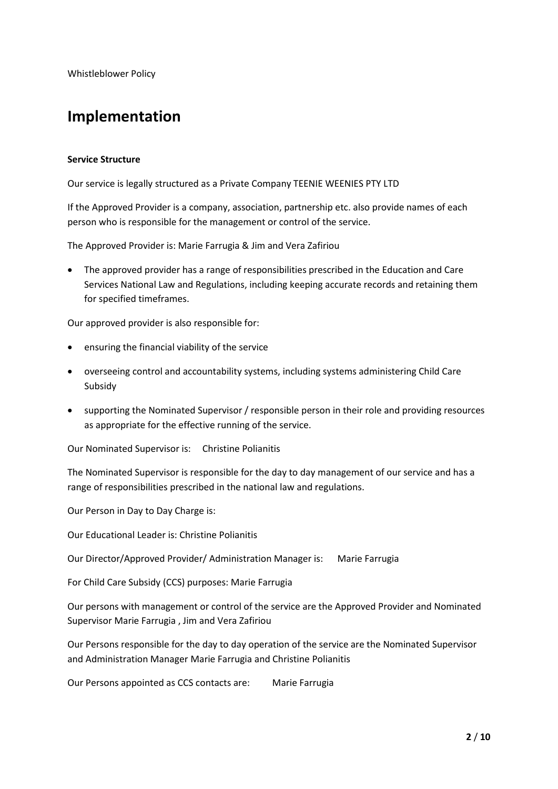Whistleblower Policy

## **Implementation**

#### **Service Structure**

Our service is legally structured as a Private Company TEENIE WEENIES PTY LTD

If the Approved Provider is a company, association, partnership etc. also provide names of each person who is responsible for the management or control of the service.

The Approved Provider is: Marie Farrugia & Jim and Vera Zafiriou

• The approved provider has a range of responsibilities prescribed in the Education and Care Services National Law and Regulations, including keeping accurate records and retaining them for specified timeframes.

Our approved provider is also responsible for:

- ensuring the financial viability of the service
- overseeing control and accountability systems, including systems administering Child Care Subsidy
- supporting the Nominated Supervisor / responsible person in their role and providing resources as appropriate for the effective running of the service.

Our Nominated Supervisor is: Christine Polianitis

The Nominated Supervisor is responsible for the day to day management of our service and has a range of responsibilities prescribed in the national law and regulations.

Our Person in Day to Day Charge is:

Our Educational Leader is: Christine Polianitis

Our Director/Approved Provider/ Administration Manager is: Marie Farrugia

For Child Care Subsidy (CCS) purposes: Marie Farrugia

Our persons with management or control of the service are the Approved Provider and Nominated Supervisor Marie Farrugia , Jim and Vera Zafiriou

Our Persons responsible for the day to day operation of the service are the Nominated Supervisor and Administration Manager Marie Farrugia and Christine Polianitis

Our Persons appointed as CCS contacts are: Marie Farrugia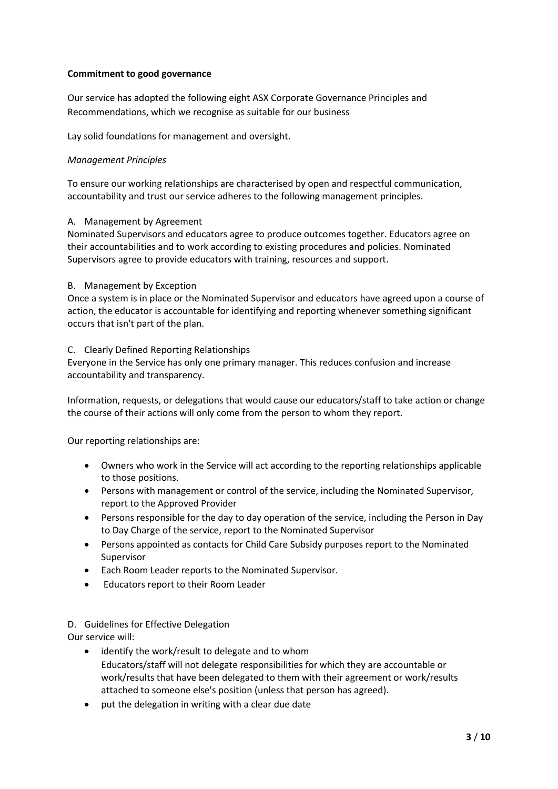#### **Commitment to good governance**

Our service has adopted the following eight ASX Corporate Governance Principles and Recommendations, which we recognise as suitable for our business

Lay solid foundations for management and oversight.

#### *Management Principles*

To ensure our working relationships are characterised by open and respectful communication, accountability and trust our service adheres to the following management principles.

#### A. Management by Agreement

Nominated Supervisors and educators agree to produce outcomes together. Educators agree on their accountabilities and to work according to existing procedures and policies. Nominated Supervisors agree to provide educators with training, resources and support.

#### B. Management by Exception

Once a system is in place or the Nominated Supervisor and educators have agreed upon a course of action, the educator is accountable for identifying and reporting whenever something significant occurs that isn't part of the plan.

#### C. Clearly Defined Reporting Relationships

Everyone in the Service has only one primary manager. This reduces confusion and increase accountability and transparency.

Information, requests, or delegations that would cause our educators/staff to take action or change the course of their actions will only come from the person to whom they report.

Our reporting relationships are:

- Owners who work in the Service will act according to the reporting relationships applicable to those positions.
- Persons with management or control of the service, including the Nominated Supervisor, report to the Approved Provider
- Persons responsible for the day to day operation of the service, including the Person in Day to Day Charge of the service, report to the Nominated Supervisor
- Persons appointed as contacts for Child Care Subsidy purposes report to the Nominated Supervisor
- Each Room Leader reports to the Nominated Supervisor.
- Educators report to their Room Leader

### D. Guidelines for Effective Delegation

Our service will:

- identify the work/result to delegate and to whom Educators/staff will not delegate responsibilities for which they are accountable or work/results that have been delegated to them with their agreement or work/results attached to someone else's position (unless that person has agreed).
- put the delegation in writing with a clear due date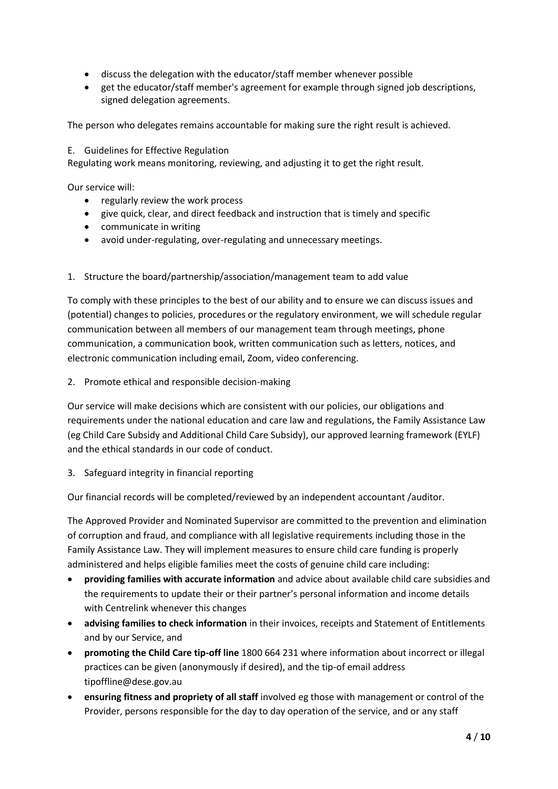- discuss the delegation with the educator/staff member whenever possible
- get the educator/staff member's agreement for example through signed job descriptions, signed delegation agreements.

The person who delegates remains accountable for making sure the right result is achieved.

#### E. Guidelines for Effective Regulation

Regulating work means monitoring, reviewing, and adjusting it to get the right result.

Our service will:

- regularly review the work process
- give quick, clear, and direct feedback and instruction that is timely and specific
- communicate in writing
- avoid under-regulating, over-regulating and unnecessary meetings.
- 1. Structure the board/partnership/association/management team to add value

To comply with these principles to the best of our ability and to ensure we can discuss issues and (potential) changes to policies, procedures or the regulatory environment, we will schedule regular communication between all members of our management team through meetings, phone communication, a communication book, written communication such as letters, notices, and electronic communication including email, Zoom, video conferencing.

2. Promote ethical and responsible decision-making

Our service will make decisions which are consistent with our policies, our obligations and requirements under the national education and care law and regulations, the Family Assistance Law (eg Child Care Subsidy and Additional Child Care Subsidy), our approved learning framework (EYLF) and the ethical standards in our code of conduct.

3. Safeguard integrity in financial reporting

Our financial records will be completed/reviewed by an independent accountant /auditor.

The Approved Provider and Nominated Supervisor are committed to the prevention and elimination of corruption and fraud, and compliance with all legislative requirements including those in the Family Assistance Law. They will implement measures to ensure child care funding is properly administered and helps eligible families meet the costs of genuine child care including:

- **providing families with accurate information** and advice about available child care subsidies and the requirements to update their or their partner's personal information and income details with Centrelink whenever this changes
- **advising families to check information** in their invoices, receipts and Statement of Entitlements and by our Service, and
- **promoting the Child Care tip-off line** 1800 664 231 where information about incorrect or illegal practices can be given (anonymously if desired), and the tip-of email address tipoffline@dese.gov.au
- **ensuring fitness and propriety of all staff** involved eg those with management or control of the Provider, persons responsible for the day to day operation of the service, and or any staff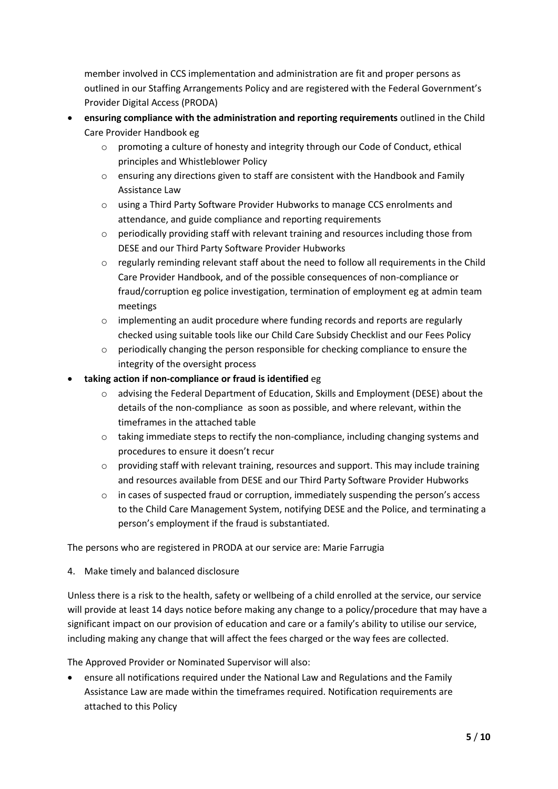member involved in CCS implementation and administration are fit and proper persons as outlined in our Staffing Arrangements Policy and are registered with the Federal Government's Provider Digital Access (PRODA)

- **ensuring compliance with the administration and reporting requirements** outlined in the Child Care Provider Handbook eg
	- o promoting a culture of honesty and integrity through our Code of Conduct, ethical principles and Whistleblower Policy
	- $\circ$  ensuring any directions given to staff are consistent with the Handbook and Family Assistance Law
	- o using a Third Party Software Provider Hubworks to manage CCS enrolments and attendance, and guide compliance and reporting requirements
	- $\circ$  periodically providing staff with relevant training and resources including those from DESE and our Third Party Software Provider Hubworks
	- $\circ$  regularly reminding relevant staff about the need to follow all requirements in the Child Care Provider Handbook, and of the possible consequences of non-compliance or fraud/corruption eg police investigation, termination of employment eg at admin team meetings
	- $\circ$  implementing an audit procedure where funding records and reports are regularly checked using suitable tools like our Child Care Subsidy Checklist and our Fees Policy
	- o periodically changing the person responsible for checking compliance to ensure the integrity of the oversight process
- **taking action if non-compliance or fraud is identified** eg
	- o advising the Federal Department of Education, Skills and Employment (DESE) about the details of the non-compliance as soon as possible, and where relevant, within the timeframes in the attached table
	- o taking immediate steps to rectify the non-compliance, including changing systems and procedures to ensure it doesn't recur
	- o providing staff with relevant training, resources and support. This may include training and resources available from DESE and our Third Party Software Provider Hubworks
	- o in cases of suspected fraud or corruption, immediately suspending the person's access to the Child Care Management System, notifying DESE and the Police, and terminating a person's employment if the fraud is substantiated.

The persons who are registered in PRODA at our service are: Marie Farrugia

4. Make timely and balanced disclosure

Unless there is a risk to the health, safety or wellbeing of a child enrolled at the service, our service will provide at least 14 days notice before making any change to a policy/procedure that may have a significant impact on our provision of education and care or a family's ability to utilise our service, including making any change that will affect the fees charged or the way fees are collected.

The Approved Provider or Nominated Supervisor will also:

• ensure all notifications required under the National Law and Regulations and the Family Assistance Law are made within the timeframes required. Notification requirements are attached to this Policy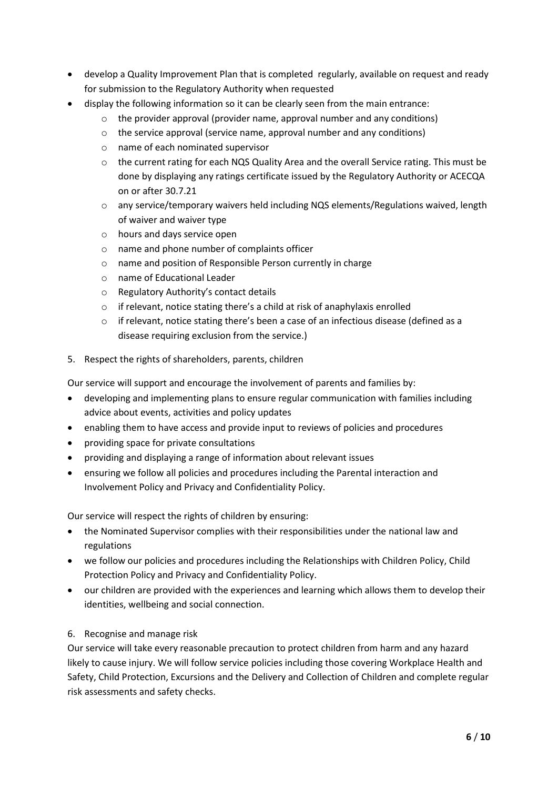- develop a Quality Improvement Plan that is completed regularly, available on request and ready for submission to the Regulatory Authority when requested
- display the following information so it can be clearly seen from the main entrance:
	- o the provider approval (provider name, approval number and any conditions)
	- o the service approval (service name, approval number and any conditions)
	- o name of each nominated supervisor
	- o the current rating for each NQS Quality Area and the overall Service rating. This must be done by displaying any ratings certificate issued by the Regulatory Authority or ACECQA on or after 30.7.21
	- o any service/temporary waivers held including NQS elements/Regulations waived, length of waiver and waiver type
	- o hours and days service open
	- o name and phone number of complaints officer
	- o name and position of Responsible Person currently in charge
	- o name of Educational Leader
	- o Regulatory Authority's contact details
	- o if relevant, notice stating there's a child at risk of anaphylaxis enrolled
	- $\circ$  if relevant, notice stating there's been a case of an infectious disease (defined as a disease requiring exclusion from the service.)
- 5. Respect the rights of shareholders, parents, children

Our service will support and encourage the involvement of parents and families by:

- developing and implementing plans to ensure regular communication with families including advice about events, activities and policy updates
- enabling them to have access and provide input to reviews of policies and procedures
- providing space for private consultations
- providing and displaying a range of information about relevant issues
- ensuring we follow all policies and procedures including the Parental interaction and Involvement Policy and Privacy and Confidentiality Policy.

Our service will respect the rights of children by ensuring:

- the Nominated Supervisor complies with their responsibilities under the national law and regulations
- we follow our policies and procedures including the Relationships with Children Policy, Child Protection Policy and Privacy and Confidentiality Policy.
- our children are provided with the experiences and learning which allows them to develop their identities, wellbeing and social connection.
- 6. Recognise and manage risk

Our service will take every reasonable precaution to protect children from harm and any hazard likely to cause injury. We will follow service policies including those covering Workplace Health and Safety, Child Protection, Excursions and the Delivery and Collection of Children and complete regular risk assessments and safety checks.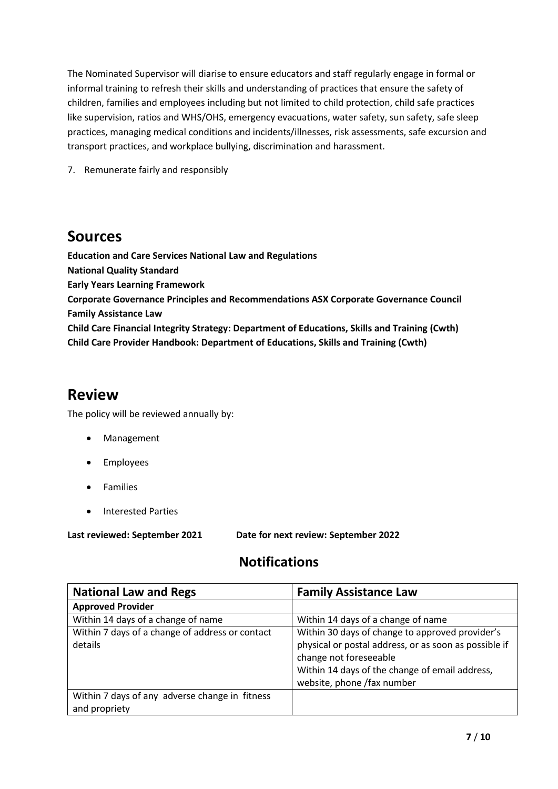The Nominated Supervisor will diarise to ensure educators and staff regularly engage in formal or informal training to refresh their skills and understanding of practices that ensure the safety of children, families and employees including but not limited to child protection, child safe practices like supervision, ratios and WHS/OHS, emergency evacuations, water safety, sun safety, safe sleep practices, managing medical conditions and incidents/illnesses, risk assessments, safe excursion and transport practices, and workplace bullying, discrimination and harassment.

7. Remunerate fairly and responsibly

### **Sources**

**Education and Care Services National Law and Regulations National Quality Standard Early Years Learning Framework Corporate Governance Principles and Recommendations ASX Corporate Governance Council Family Assistance Law Child Care Financial Integrity Strategy: Department of Educations, Skills and Training (Cwth) Child Care Provider Handbook: Department of Educations, Skills and Training (Cwth)**

### **Review**

The policy will be reviewed annually by:

- Management
- Employees
- **Families**
- Interested Parties

**Last reviewed: September 2021 Date for next review: September 2022**

### **Notifications**

| <b>National Law and Regs</b>                                    | <b>Family Assistance Law</b>                                                                                                                                                                                       |
|-----------------------------------------------------------------|--------------------------------------------------------------------------------------------------------------------------------------------------------------------------------------------------------------------|
| <b>Approved Provider</b>                                        |                                                                                                                                                                                                                    |
| Within 14 days of a change of name                              | Within 14 days of a change of name                                                                                                                                                                                 |
| Within 7 days of a change of address or contact<br>details      | Within 30 days of change to approved provider's<br>physical or postal address, or as soon as possible if<br>change not foreseeable<br>Within 14 days of the change of email address,<br>website, phone /fax number |
| Within 7 days of any adverse change in fitness<br>and propriety |                                                                                                                                                                                                                    |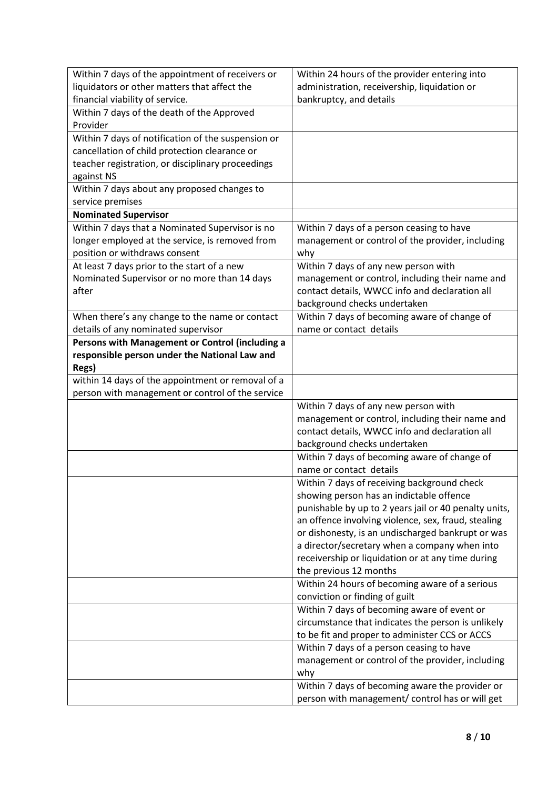| Within 7 days of the appointment of receivers or   | Within 24 hours of the provider entering into         |
|----------------------------------------------------|-------------------------------------------------------|
| liquidators or other matters that affect the       | administration, receivership, liquidation or          |
| financial viability of service.                    | bankruptcy, and details                               |
| Within 7 days of the death of the Approved         |                                                       |
| Provider                                           |                                                       |
| Within 7 days of notification of the suspension or |                                                       |
| cancellation of child protection clearance or      |                                                       |
| teacher registration, or disciplinary proceedings  |                                                       |
| against NS                                         |                                                       |
| Within 7 days about any proposed changes to        |                                                       |
| service premises                                   |                                                       |
| <b>Nominated Supervisor</b>                        |                                                       |
| Within 7 days that a Nominated Supervisor is no    | Within 7 days of a person ceasing to have             |
| longer employed at the service, is removed from    | management or control of the provider, including      |
| position or withdraws consent                      | why                                                   |
| At least 7 days prior to the start of a new        | Within 7 days of any new person with                  |
| Nominated Supervisor or no more than 14 days       | management or control, including their name and       |
| after                                              | contact details, WWCC info and declaration all        |
|                                                    | background checks undertaken                          |
| When there's any change to the name or contact     | Within 7 days of becoming aware of change of          |
| details of any nominated supervisor                | name or contact details                               |
| Persons with Management or Control (including a    |                                                       |
| responsible person under the National Law and      |                                                       |
| Regs)                                              |                                                       |
| within 14 days of the appointment or removal of a  |                                                       |
| person with management or control of the service   |                                                       |
|                                                    | Within 7 days of any new person with                  |
|                                                    | management or control, including their name and       |
|                                                    | contact details, WWCC info and declaration all        |
|                                                    | background checks undertaken                          |
|                                                    | Within 7 days of becoming aware of change of          |
|                                                    | name or contact details                               |
|                                                    | Within 7 days of receiving background check           |
|                                                    | showing person has an indictable offence              |
|                                                    | punishable by up to 2 years jail or 40 penalty units, |
|                                                    | an offence involving violence, sex, fraud, stealing   |
|                                                    | or dishonesty, is an undischarged bankrupt or was     |
|                                                    | a director/secretary when a company when into         |
|                                                    | receivership or liquidation or at any time during     |
|                                                    | the previous 12 months                                |
|                                                    | Within 24 hours of becoming aware of a serious        |
|                                                    | conviction or finding of guilt                        |
|                                                    | Within 7 days of becoming aware of event or           |
|                                                    | circumstance that indicates the person is unlikely    |
|                                                    | to be fit and proper to administer CCS or ACCS        |
|                                                    | Within 7 days of a person ceasing to have             |
|                                                    | management or control of the provider, including      |
|                                                    | why                                                   |
|                                                    | Within 7 days of becoming aware the provider or       |
|                                                    | person with management/ control has or will get       |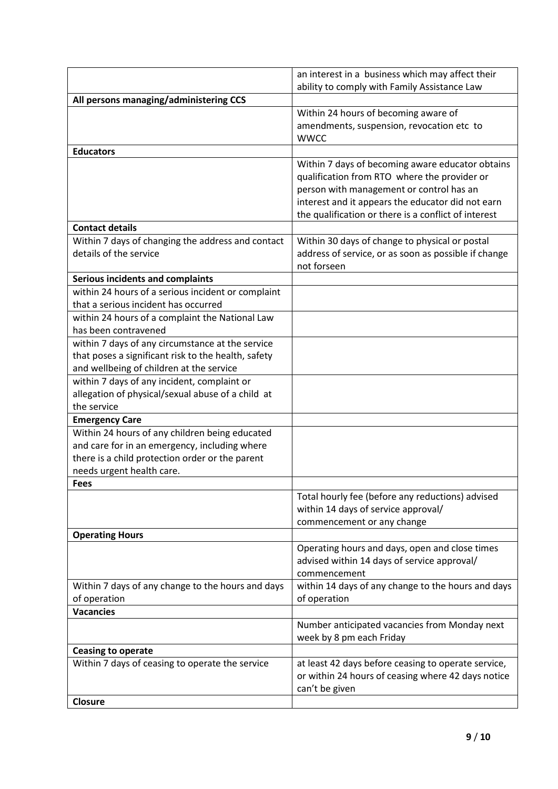|                                                     | an interest in a business which may affect their     |
|-----------------------------------------------------|------------------------------------------------------|
|                                                     | ability to comply with Family Assistance Law         |
| All persons managing/administering CCS              |                                                      |
|                                                     | Within 24 hours of becoming aware of                 |
|                                                     | amendments, suspension, revocation etc to            |
|                                                     | <b>WWCC</b>                                          |
| <b>Educators</b>                                    |                                                      |
|                                                     | Within 7 days of becoming aware educator obtains     |
|                                                     | qualification from RTO where the provider or         |
|                                                     | person with management or control has an             |
|                                                     | interest and it appears the educator did not earn    |
|                                                     | the qualification or there is a conflict of interest |
| <b>Contact details</b>                              |                                                      |
| Within 7 days of changing the address and contact   | Within 30 days of change to physical or postal       |
| details of the service                              | address of service, or as soon as possible if change |
|                                                     | not forseen                                          |
| <b>Serious incidents and complaints</b>             |                                                      |
| within 24 hours of a serious incident or complaint  |                                                      |
| that a serious incident has occurred                |                                                      |
| within 24 hours of a complaint the National Law     |                                                      |
| has been contravened                                |                                                      |
| within 7 days of any circumstance at the service    |                                                      |
| that poses a significant risk to the health, safety |                                                      |
| and wellbeing of children at the service            |                                                      |
| within 7 days of any incident, complaint or         |                                                      |
| allegation of physical/sexual abuse of a child at   |                                                      |
| the service                                         |                                                      |
| <b>Emergency Care</b>                               |                                                      |
| Within 24 hours of any children being educated      |                                                      |
| and care for in an emergency, including where       |                                                      |
| there is a child protection order or the parent     |                                                      |
| needs urgent health care.                           |                                                      |
| <b>Fees</b>                                         |                                                      |
|                                                     | Total hourly fee (before any reductions) advised     |
|                                                     | within 14 days of service approval/                  |
|                                                     | commencement or any change                           |
| <b>Operating Hours</b>                              |                                                      |
|                                                     | Operating hours and days, open and close times       |
|                                                     | advised within 14 days of service approval/          |
|                                                     | commencement                                         |
| Within 7 days of any change to the hours and days   | within 14 days of any change to the hours and days   |
| of operation                                        | of operation                                         |
| <b>Vacancies</b>                                    |                                                      |
|                                                     | Number anticipated vacancies from Monday next        |
|                                                     | week by 8 pm each Friday                             |
| <b>Ceasing to operate</b>                           |                                                      |
| Within 7 days of ceasing to operate the service     | at least 42 days before ceasing to operate service,  |
|                                                     | or within 24 hours of ceasing where 42 days notice   |
|                                                     | can't be given                                       |
| <b>Closure</b>                                      |                                                      |